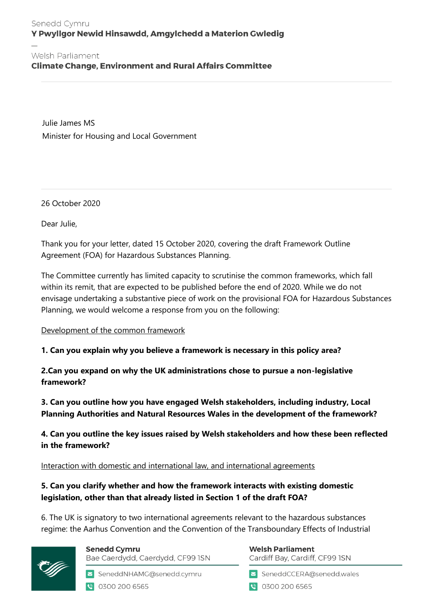### Senedd Cymru Y Pwyllgor Newid Hinsawdd, Amgylchedd a Materion Gwledig

#### Welsh Parliament

**Climate Change, Environment and Rural Affairs Committee** 

Julie James MS Minister for Housing and Local Government

26 October 2020

Dear Julie,

Thank you for your letter, dated 15 October 2020, covering the draft Framework Outline Agreement (FOA) for Hazardous Substances Planning.

The Committee currently has limited capacity to scrutinise the common frameworks, which fall within its remit, that are expected to be published before the end of 2020. While we do not envisage undertaking a substantive piece of work on the provisional FOA for Hazardous Substances Planning, we would welcome a response from you on the following:

Development of the common framework

**1. Can you explain why you believe a framework is necessary in this policy area?**

**2.Can you expand on why the UK administrations chose to pursue a non-legislative framework?**

**3. Can you outline how you have engaged Welsh stakeholders, including industry, Local Planning Authorities and Natural Resources Wales in the development of the framework?**

**4. Can you outline the key issues raised by Welsh stakeholders and how these been reflected in the framework?** 

Interaction with domestic and international law, and international agreements

**5. Can you clarify whether and how the framework interacts with existing domestic legislation, other than that already listed in Section 1 of the draft FOA?**

6. The UK is signatory to two international agreements relevant to the hazardous substances regime: the Aarhus Convention and the Convention of the Transboundary Effects of Industrial



**Senedd Cymru** Bae Caerdydd, Caerdydd, CF99 ISN

SeneddNHAMG@senedd.cymru

● 0300 200 6565

**Welsh Parliament** Cardiff Bay, Cardiff, CF99 ISN

SeneddCCERA@senedd.wales

● 0300 200 6565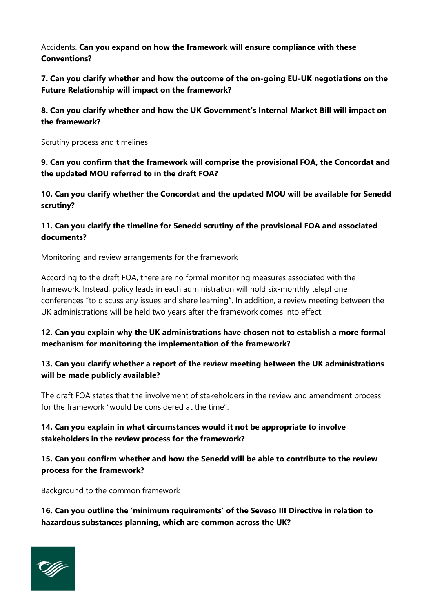Accidents. **Can you expand on how the framework will ensure compliance with these Conventions?** 

**7. Can you clarify whether and how the outcome of the on-going EU-UK negotiations on the Future Relationship will impact on the framework?** 

**8. Can you clarify whether and how the UK Government's Internal Market Bill will impact on the framework?**

Scrutiny process and timelines

**9. Can you confirm that the framework will comprise the provisional FOA, the Concordat and the updated MOU referred to in the draft FOA?** 

**10. Can you clarify whether the Concordat and the updated MOU will be available for Senedd scrutiny?**

### **11. Can you clarify the timeline for Senedd scrutiny of the provisional FOA and associated documents?**

#### Monitoring and review arrangements for the framework

According to the draft FOA, there are no formal monitoring measures associated with the framework. Instead, policy leads in each administration will hold six-monthly telephone conferences "to discuss any issues and share learning". In addition, a review meeting between the UK administrations will be held two years after the framework comes into effect.

## **12. Can you explain why the UK administrations have chosen not to establish a more formal mechanism for monitoring the implementation of the framework?**

### **13. Can you clarify whether a report of the review meeting between the UK administrations will be made publicly available?**

The draft FOA states that the involvement of stakeholders in the review and amendment process for the framework "would be considered at the time".

## **14. Can you explain in what circumstances would it not be appropriate to involve stakeholders in the review process for the framework?**

### **15. Can you confirm whether and how the Senedd will be able to contribute to the review process for the framework?**

#### Background to the common framework

**16. Can you outline the 'minimum requirements' of the Seveso III Directive in relation to hazardous substances planning, which are common across the UK?** 

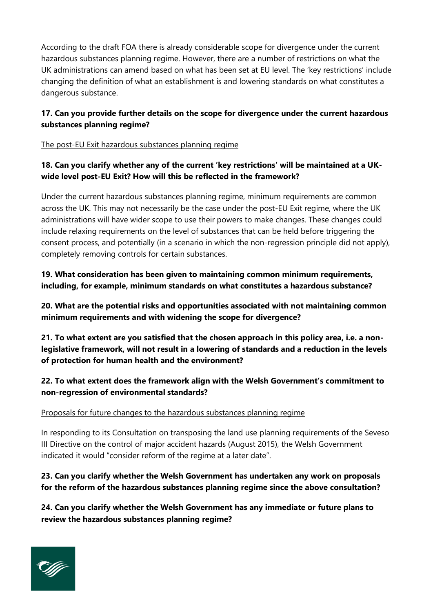According to the draft FOA there is already considerable scope for divergence under the current hazardous substances planning regime. However, there are a number of restrictions on what the UK administrations can amend based on what has been set at EU level. The 'key restrictions' include changing the definition of what an establishment is and lowering standards on what constitutes a dangerous substance.

## **17. Can you provide further details on the scope for divergence under the current hazardous substances planning regime?**

The post-EU Exit hazardous substances planning regime

## **18. Can you clarify whether any of the current 'key restrictions' will be maintained at a UKwide level post-EU Exit? How will this be reflected in the framework?**

Under the current hazardous substances planning regime, minimum requirements are common across the UK. This may not necessarily be the case under the post-EU Exit regime, where the UK administrations will have wider scope to use their powers to make changes. These changes could include relaxing requirements on the level of substances that can be held before triggering the consent process, and potentially (in a scenario in which the non-regression principle did not apply), completely removing controls for certain substances.

**19. What consideration has been given to maintaining common minimum requirements, including, for example, minimum standards on what constitutes a hazardous substance?** 

**20. What are the potential risks and opportunities associated with not maintaining common minimum requirements and with widening the scope for divergence?** 

**21. To what extent are you satisfied that the chosen approach in this policy area, i.e. a nonlegislative framework, will not result in a lowering of standards and a reduction in the levels of protection for human health and the environment?** 

## **22. To what extent does the framework align with the Welsh Government's commitment to non-regression of environmental standards?**

### Proposals for future changes to the hazardous substances planning regime

In responding to its Consultation on transposing the land use planning requirements of the Seveso III Directive on the control of major accident hazards (August 2015), the Welsh Government indicated it would "consider reform of the regime at a later date".

# **23. Can you clarify whether the Welsh Government has undertaken any work on proposals for the reform of the hazardous substances planning regime since the above consultation?**

**24. Can you clarify whether the Welsh Government has any immediate or future plans to review the hazardous substances planning regime?**